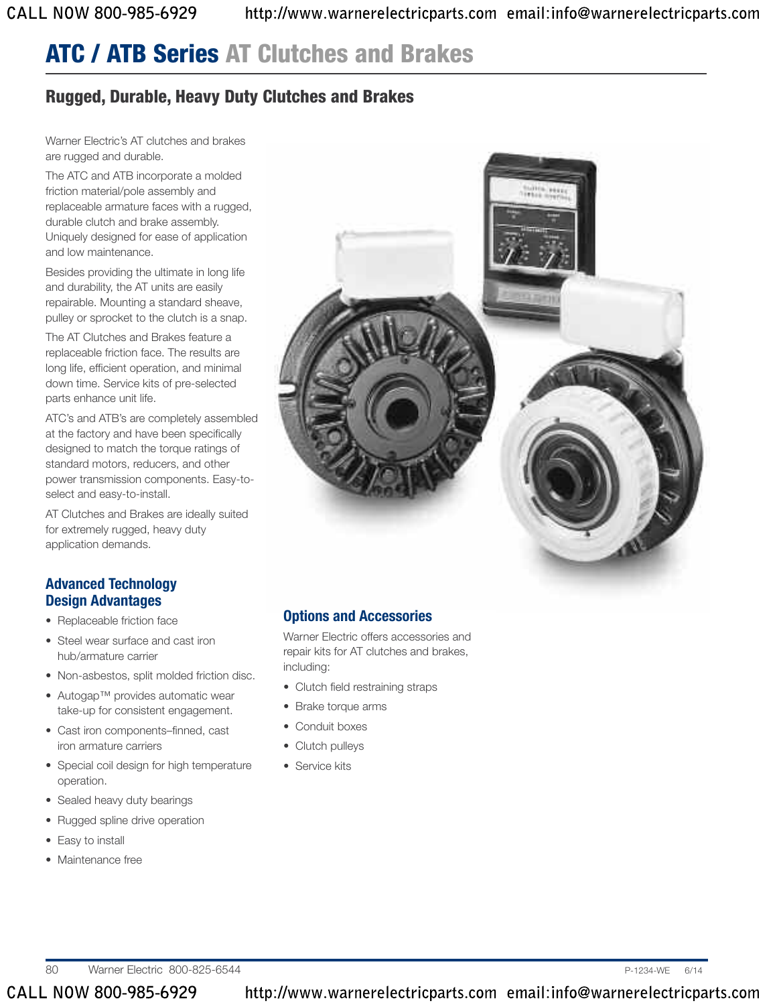## **Rugged, Durable, Heavy Duty Clutches and Brakes**

Warner Electric's AT clutches and brakes are rugged and durable.

The ATC and ATB incorporate a molded friction material/pole assembly and replaceable armature faces with a rugged, durable clutch and brake assembly. Uniquely designed for ease of application and low maintenance.

Besides providing the ultimate in long life and durability, the AT units are easily repairable. Mounting a standard sheave, pulley or sprocket to the clutch is a snap.

The AT Clutches and Brakes feature a replaceable friction face. The results are long life, efficient operation, and minimal down time. Service kits of pre-selected parts enhance unit life.

ATC's and ATB's are completely assembled at the factory and have been specifically designed to match the torque ratings of standard motors, reducers, and other power transmission components. Easy-toselect and easy-to-install.

AT Clutches and Brakes are ideally suited for extremely rugged, heavy duty application demands.

### **Advanced Technology Design Advantages**

- Replaceable friction face
- Steel wear surface and cast iron hub/armature carrier
- Non-asbestos, split molded friction disc.
- Autogap™ provides automatic wear take-up for consistent engagement.
- Cast iron components–finned, cast iron armature carriers
- Special coil design for high temperature operation.
- Sealed heavy duty bearings
- Rugged spline drive operation
- Easy to install
- Maintenance free



## **Options and Accessories**

Warner Electric offers accessories and repair kits for AT clutches and brakes, including:

- Clutch field restraining straps
- Brake torque arms
- Conduit boxes
- Clutch pulleys
- Service kits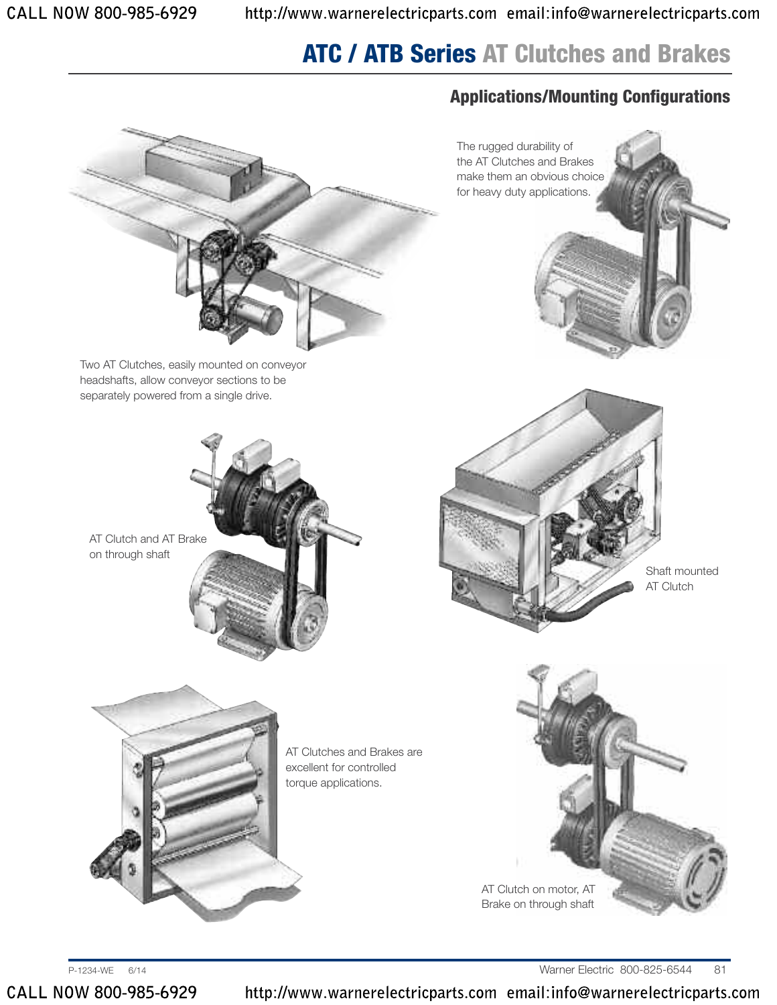The rugged durability of the AT Clutches and Brakes make them an obvious choice for heavy duty applications.

## **Applications/Mounting Configurations**



Two AT Clutches, easily mounted on conveyor headshafts, allow conveyor sections to be separately powered from a single drive.

AT Clutch and AT Brake on through shaft



Shaft mounted AT Clutch



AT Clutches and Brakes are excellent for controlled torque applications.

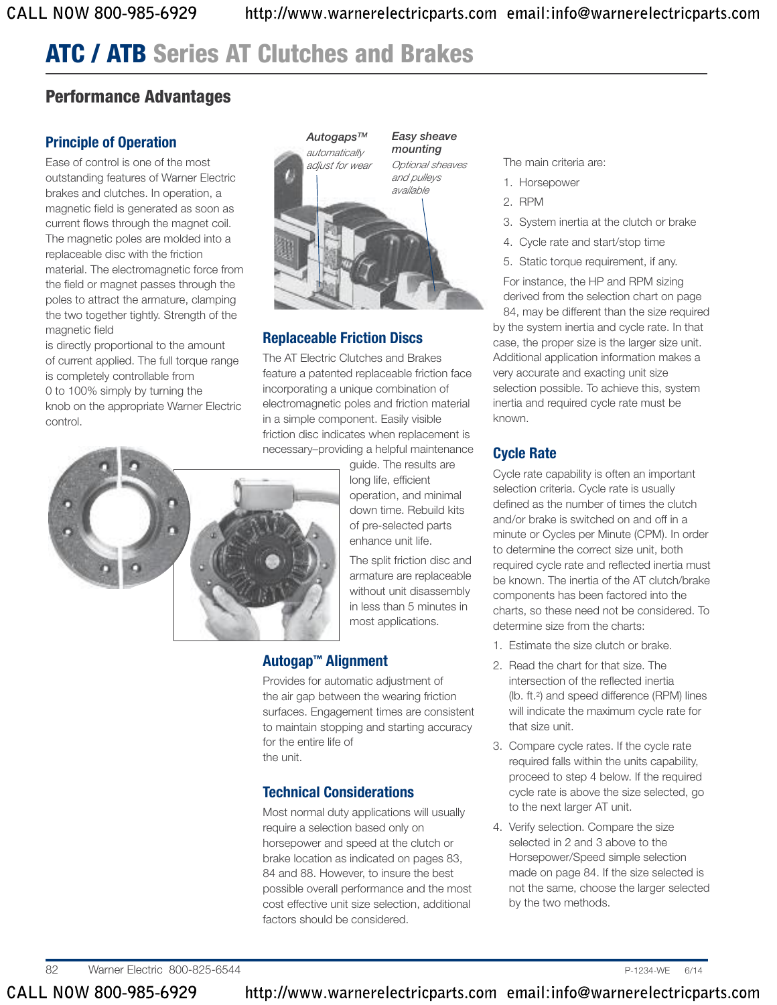## **Performance Advantages**

## **Principle of Operation**

Ease of control is one of the most outstanding features of Warner Electric brakes and clutches. In operation, a magnetic field is generated as soon as current flows through the magnet coil. The magnetic poles are molded into a replaceable disc with the friction material. The electromagnetic force from the field or magnet passes through the poles to attract the armature, clamping the two together tightly. Strength of the magnetic field

is directly proportional to the amount of current applied. The full torque range is completely controllable from 0 to 100% simply by turning the knob on the appropriate Warner Electric control.

o



### **Replaceable Friction Discs**

The AT Electric Clutches and Brakes feature a patented replaceable friction face incorporating a unique combination of electromagnetic poles and friction material in a simple component. Easily visible friction disc indicates when replacement is necessary–providing a helpful maintenance

guide. The results are long life, efficient operation, and minimal down time. Rebuild kits of pre-selected parts enhance unit life.

The split friction disc and armature are replaceable without unit disassembly in less than 5 minutes in most applications.

## **Autogap™ Alignment**

Provides for automatic adjustment of the air gap between the wearing friction surfaces. Engagement times are consistent to maintain stopping and starting accuracy for the entire life of the unit.

## **Technical Considerations**

Most normal duty applications will usually require a selection based only on horsepower and speed at the clutch or brake location as indicated on pages 83, 84 and 88. However, to insure the best possible overall performance and the most cost effective unit size selection, additional factors should be considered.

#### The main criteria are:

- 1. Horsepower
- 2. RPM
- 3. System inertia at the clutch or brake
- 4. Cycle rate and start/stop time
- 5. Static torque requirement, if any.

For instance, the HP and RPM sizing derived from the selection chart on page 84, may be different than the size required

by the system inertia and cycle rate. In that case, the proper size is the larger size unit. Additional application information makes a very accurate and exacting unit size selection possible. To achieve this, system inertia and required cycle rate must be known.

### **Cycle Rate**

Cycle rate capability is often an important selection criteria. Cycle rate is usually defined as the number of times the clutch and/or brake is switched on and off in a minute or Cycles per Minute (CPM). In order to determine the correct size unit, both required cycle rate and reflected inertia must be known. The inertia of the AT clutch/brake components has been factored into the charts, so these need not be considered. To determine size from the charts:

- 1. Estimate the size clutch or brake.
- 2. Read the chart for that size. The intersection of the reflected inertia (lb. ft. 2) and speed difference (RPM) lines will indicate the maximum cycle rate for that size unit.
- 3. Compare cycle rates. If the cycle rate required falls within the units capability, proceed to step 4 below. If the required cycle rate is above the size selected, go to the next larger AT unit.
- 4. Verify selection. Compare the size selected in 2 and 3 above to the Horsepower/Speed simple selection made on page 84. If the size selected is not the same, choose the larger selected by the two methods.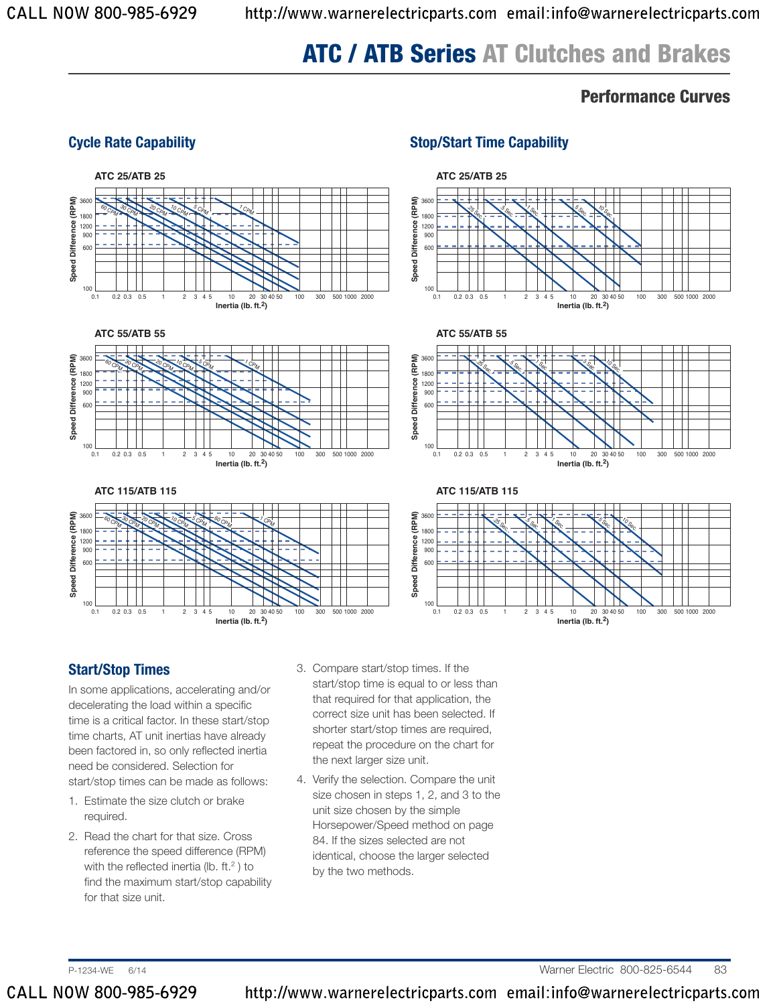## **Performance Curves**

#### **Cycle Rate Capability Stop/Start Time Capability**



### **Start/Stop Times**

In some applications, accelerating and/or decelerating the load within a specific time is a critical factor. In these start/stop time charts, AT unit inertias have already been factored in, so only reflected inertia need be considered. Selection for start/stop times can be made as follows:

- 1. Estimate the size clutch or brake required.
- 2. Read the chart for that size. Cross reference the speed difference (RPM) with the reflected inertia (lb. ft.<sup>2</sup>) to find the maximum start/stop capability for that size unit.
- 3. Compare start/stop times. If the start/stop time is equal to or less than that required for that application, the correct size unit has been selected. If shorter start/stop times are required, repeat the procedure on the chart for the next larger size unit.
- 4. Verify the selection. Compare the unit size chosen in steps 1, 2, and 3 to the unit size chosen by the simple Horsepower/Speed method on page 84. If the sizes selected are not identical, choose the larger selected by the two methods.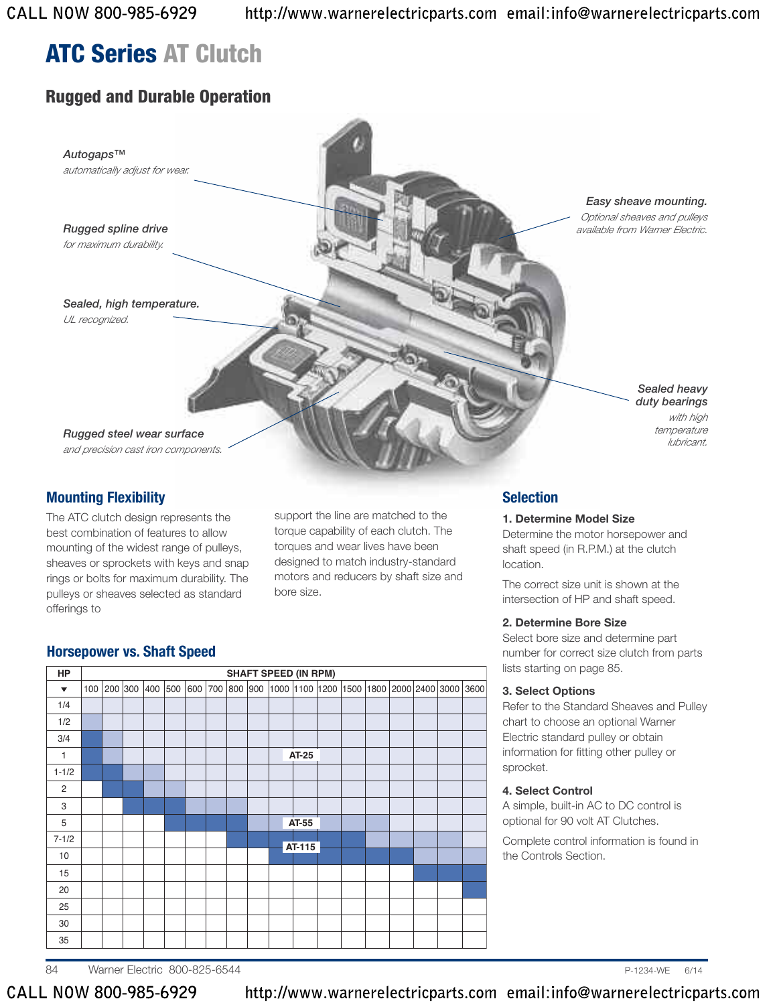## **Rugged and Durable Operation**



### **Mounting Flexibility**

The ATC clutch design represents the best combination of features to allow mounting of the widest range of pulleys, sheaves or sprockets with keys and snap rings or bolts for maximum durability. The pulleys or sheaves selected as standard offerings to

support the line are matched to the torque capability of each clutch. The torques and wear lives have been designed to match industry-standard motors and reducers by shaft size and bore size.

### **Selection**

#### **1. Determine Model Size**

Determine the motor horsepower and shaft speed (in R.P.M.) at the clutch location.

The correct size unit is shown at the intersection of HP and shaft speed.

#### **2. Determine Bore Size**

Select bore size and determine part number for correct size clutch from parts lists starting on page 85.

#### **3. Select Options**

Refer to the Standard Sheaves and Pulley chart to choose an optional Warner Electric standard pulley or obtain information for fitting other pulley or sprocket.

#### **4. Select Control**

A simple, built-in AC to DC control is optional for 90 volt AT Clutches.

Complete control information is found in the Controls Section.

## **Horsepower vs. Shaft Speed**

| HP                   |     |         |     |     |     |     |  | <b>SHAFT SPEED (IN RPM)</b> |        |  |                                                          |  |      |
|----------------------|-----|---------|-----|-----|-----|-----|--|-----------------------------|--------|--|----------------------------------------------------------|--|------|
| $\blacktriangledown$ | 100 | 200 300 | 400 | 500 | 600 | 700 |  |                             |        |  | 800  900  1000  1100  1200  1500  1800  2000  2400  3000 |  | 3600 |
| 1/4                  |     |         |     |     |     |     |  |                             |        |  |                                                          |  |      |
| 1/2                  |     |         |     |     |     |     |  |                             |        |  |                                                          |  |      |
| 3/4                  |     |         |     |     |     |     |  |                             |        |  |                                                          |  |      |
| $\mathbf{1}$         |     |         |     |     |     |     |  |                             | AT-25  |  |                                                          |  |      |
| $1 - 1/2$            |     |         |     |     |     |     |  |                             |        |  |                                                          |  |      |
| 2                    |     |         |     |     |     |     |  |                             |        |  |                                                          |  |      |
| 3                    |     |         |     |     |     |     |  |                             |        |  |                                                          |  |      |
| 5                    |     |         |     |     |     |     |  |                             | AT-55  |  |                                                          |  |      |
| $7 - 1/2$            |     |         |     |     |     |     |  |                             |        |  |                                                          |  |      |
| 10                   |     |         |     |     |     |     |  |                             | AT-115 |  |                                                          |  |      |
| 15                   |     |         |     |     |     |     |  |                             |        |  |                                                          |  |      |
| 20                   |     |         |     |     |     |     |  |                             |        |  |                                                          |  |      |
| 25                   |     |         |     |     |     |     |  |                             |        |  |                                                          |  |      |
| 30                   |     |         |     |     |     |     |  |                             |        |  |                                                          |  |      |
| 35                   |     |         |     |     |     |     |  |                             |        |  |                                                          |  |      |

84 Warner Electric 800-825-6544 P-1234-WE 6/14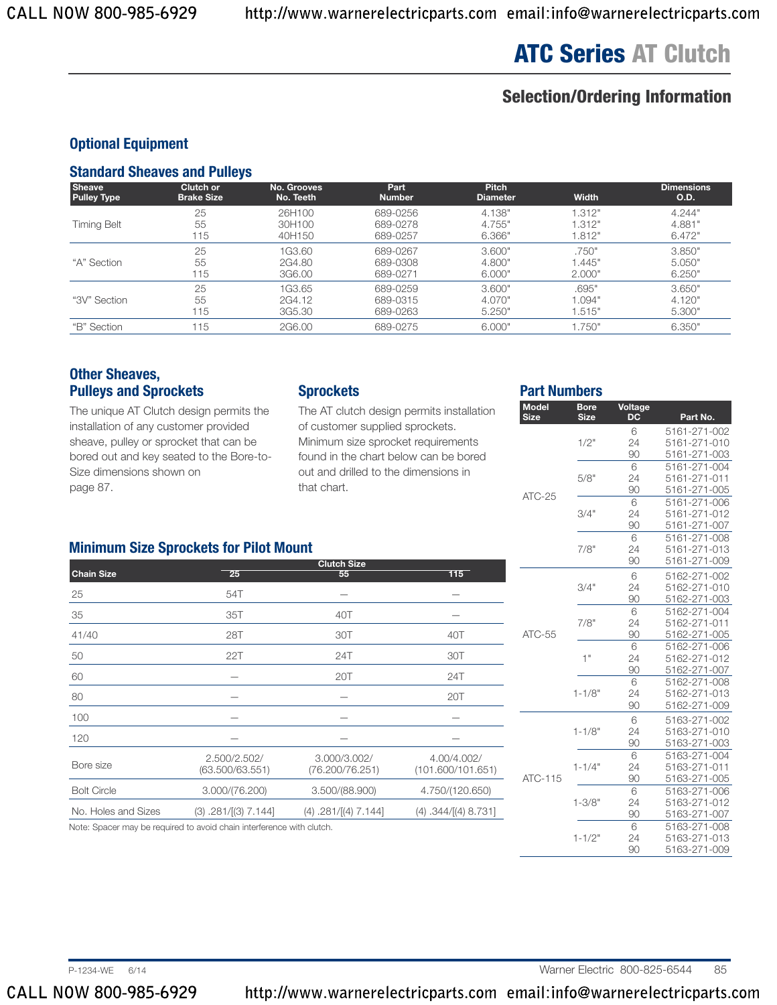## **Selection/Ordering Information**

### **Optional Equipment**

#### **Standard Sheaves and Pulleys**

| <b>Sheave</b>      | Clutch or         | No. Grooves | Part          | <b>Pitch</b>    | <b>Width</b> | <b>Dimensions</b> |
|--------------------|-------------------|-------------|---------------|-----------------|--------------|-------------------|
| <b>Pulley Type</b> | <b>Brake Size</b> | No. Teeth   | <b>Number</b> | <b>Diameter</b> |              | O.D.              |
| <b>Timing Belt</b> | 25                | 26H100      | 689-0256      | 4.138"          | 1.312"       | 4.244"            |
|                    | 55                | 30H100      | 689-0278      | 4.755"          | 1.312"       | 4.881"            |
|                    | 115               | 40H150      | 689-0257      | 6.366"          | 1.812"       | 6.472"            |
| "A" Section        | 25                | 1G3.60      | 689-0267      | 3.600"          | .750"        | 3.850"            |
|                    | 55                | 2G4.80      | 689-0308      | 4.800"          | 1.445"       | 5.050"            |
|                    | 115               | 3G6.00      | 689-0271      | 6.000"          | 2.000"       | 6.250"            |
| "3V" Section       | 25                | 1G3.65      | 689-0259      | 3.600"          | .695"        | 3.650"            |
|                    | 55                | 2G4.12      | 689-0315      | 4.070"          | 1.094"       | 4.120"            |
|                    | 115               | 3G5.30      | 689-0263      | 5.250"          | 1.515"       | 5.300"            |
| "B" Section        | 115               | 2G6.00      | 689-0275      | 6.000"          | 1.750"       | 6.350"            |

#### **Other Sheaves, Pulleys and Sprockets**

The unique AT Clutch design permits the installation of any customer provided sheave, pulley or sprocket that can be bored out and key seated to the Bore-to-Size dimensions shown on page 87.

#### **Sprockets**

The AT clutch design permits installation of customer supplied sprockets. Minimum size sprocket requirements found in the chart below can be bored out and drilled to the dimensions in that chart.

#### **Part Numbers**

| <b>Model</b><br><b>Size</b> | <b>Bore</b><br><b>Size</b> | Voltage<br><b>DC</b> | Part No.                     |
|-----------------------------|----------------------------|----------------------|------------------------------|
|                             |                            | 6                    | 5161-271-002                 |
|                             | 1/2"                       | 24                   | 5161-271-010                 |
|                             |                            | 90                   | 5161-271-003                 |
|                             |                            | 6                    | 5161-271-004                 |
|                             | 5/8"                       | 24                   | 5161-271-011                 |
| $ATC-25$                    |                            | 90                   | 5161-271-005                 |
|                             |                            | 6                    | 5161-271-006                 |
|                             | 3/4"                       | 24<br>90             | 5161-271-012<br>5161-271-007 |
|                             |                            | 6                    | 5161-271-008                 |
|                             | 7/8"                       | 24                   | 5161-271-013                 |
|                             |                            | 90                   | 5161-271-009                 |
|                             |                            | 6                    |                              |
|                             | 3/4"                       | 24                   | 5162-271-002<br>5162-271-010 |
|                             |                            | 90                   | 5162-271-003                 |
|                             |                            | 6                    | 5162-271-004                 |
|                             | 7/8"                       | 24                   | 5162-271-011                 |
| $ATC-55$                    |                            | 90                   | 5162-271-005                 |
|                             |                            | 6                    | 5162-271-006                 |
|                             | 1"                         | 24                   | 5162-271-012                 |
|                             |                            | 90                   | 5162-271-007                 |
|                             |                            | 6                    | 5162-271-008                 |
|                             | $1 - 1/8"$                 | 24                   | 5162-271-013                 |
|                             |                            | 90                   | 5162-271-009                 |
|                             |                            | 6                    | 5163-271-002                 |
|                             | $1 - 1/8"$                 | 24                   | 5163-271-010                 |
|                             |                            | 90                   | 5163-271-003                 |
|                             |                            | 6                    | 5163-271-004                 |
|                             | $1 - 1/4"$                 | 24                   | 5163-271-011                 |
| ATC-115                     |                            | 90                   | 5163-271-005                 |
|                             |                            | 6                    | 5163-271-006                 |
|                             | $1 - 3/8"$                 | 24                   | 5163-271-012                 |
|                             |                            | 90                   | 5163-271-007                 |
|                             |                            | 6                    | 5163-271-008                 |
|                             | $1 - 1/2"$                 | 24<br>90             | 5163-271-013<br>5163-271-009 |
|                             |                            |                      |                              |

### **Minimum Size Sprockets for Pilot Mount**

|                     |                                                                       | <b>Clutch Size</b>              |                                  |
|---------------------|-----------------------------------------------------------------------|---------------------------------|----------------------------------|
| <b>Chain Size</b>   | 25                                                                    | 55                              | 115                              |
| 25                  | 54T                                                                   |                                 |                                  |
| 35                  | 35T                                                                   | 40T                             |                                  |
| 41/40               | 28T                                                                   | 30T                             | 40T                              |
| 50                  | 22T                                                                   | 24T                             | 30T                              |
| 60                  |                                                                       | 20T                             | 24T                              |
| 80                  |                                                                       |                                 | 20T                              |
| 100                 |                                                                       |                                 |                                  |
| 120                 |                                                                       |                                 |                                  |
| Bore size           | 2.500/2.502/<br>(63.500/63.551)                                       | 3.000/3.002/<br>(76.200/76.251) | 4.00/4.002/<br>(101.600/101.651) |
| <b>Bolt Circle</b>  | 3.000/(76.200)                                                        | 3.500/(88.900)                  | 4.750/(120.650)                  |
| No. Holes and Sizes | $(3)$ .281/ $[(3)$ 7.144]                                             | $(4)$ .281/ $[(4)$ 7.144]       | (4) .344/[(4) 8.731]             |
|                     | Note: Spacer may be required to avoid chain interference with clutch. |                                 |                                  |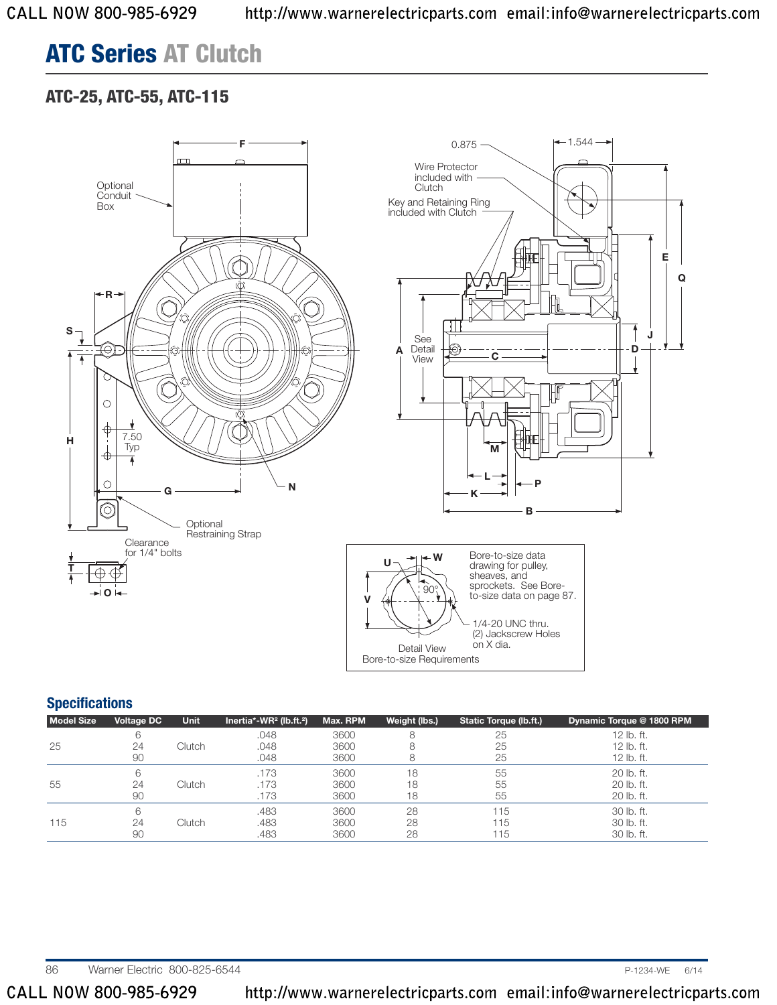## **ATC-25, ATC-55, ATC-115**



### **Specifications**

| <b>Model Size</b> | <b>Voltage DC</b> | <b>Unit</b> | Inertia*-WR <sup>2</sup> (lb.ft. <sup>2</sup> ) | Max. RPM | Weight (lbs.) | Static Torque (lb.ft.) | Dynamic Torque @ 1800 RPM |
|-------------------|-------------------|-------------|-------------------------------------------------|----------|---------------|------------------------|---------------------------|
|                   | 6                 |             | .048                                            | 3600     |               | 25                     | 12 lb. ft.                |
| 25                | 24                | Clutch      | .048                                            | 3600     |               | 25                     | 12 lb. ft.                |
|                   | 90                |             | .048                                            | 3600     |               | 25                     | 12 lb. ft.                |
|                   | 6                 |             | .173                                            | 3600     | 18            | 55                     | 20 lb. ft.                |
| 55                | 24                | Clutch      | .173                                            | 3600     | 18            | 55                     | 20 lb. ft.                |
|                   | 90                |             | .173                                            | 3600     | 18            | 55                     | 20 lb. ft.                |
|                   | 6                 |             | .483                                            | 3600     | 28            | 115                    | $30$ lb. ft.              |
| 115               | 24                | Clutch      | .483                                            | 3600     | 28            | 115                    | 30 lb. ft.                |
|                   | 90                |             | .483                                            | 3600     | 28            | 115                    | 30 lb. ft.                |

86 Warner Electric 800-825-6544 **P-1234-WE** 6/14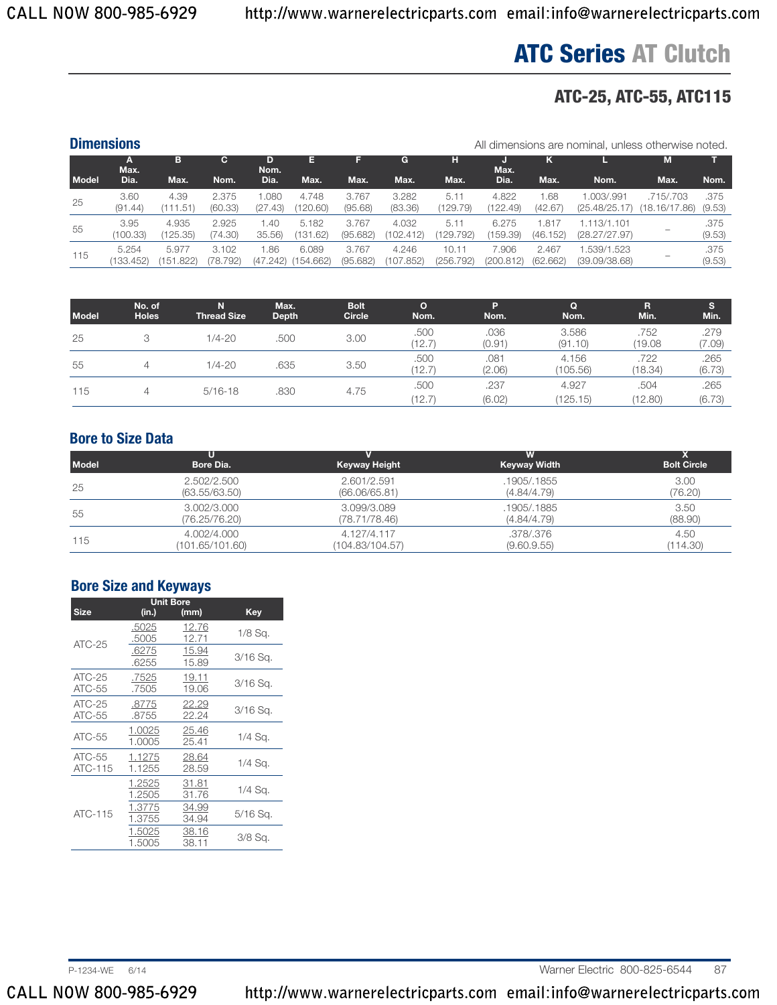## **ATC-25, ATC-55, ATC115**

|              | <b>Dimensions</b>  |                    |                   |                 |                    |                   |                    |                    |                    |                   | All dimensions are nominal, unless otherwise noted. |                            |                |
|--------------|--------------------|--------------------|-------------------|-----------------|--------------------|-------------------|--------------------|--------------------|--------------------|-------------------|-----------------------------------------------------|----------------------------|----------------|
|              | A<br>Max.          | в                  | C.                | Nom.            | Е                  |                   | G                  | н                  | Max.               | κ                 |                                                     | M                          |                |
| <b>Model</b> | Dia.               | Max.               | Nom.              | Dia.            | Max.               | Max.              | Max.               | Max.               | Dia.               | Max.              | Nom.                                                | Max.                       | Nom.           |
| 25           | 3.60<br>(91.44)    | 4.39<br>(111.51)   | 2.375<br>(60.33)  | .080<br>(27.43) | 4.748<br>(120.60)  | 3.767<br>(95.68)  | 3.282<br>(83.36)   | 5.11<br>(129.79)   | 4.822<br>(122.49)  | .68<br>(42.67)    | 1.003/.991<br>(25.48/25.17)                         | .715/.703<br>(18.16/17.86) | .375<br>(9.53) |
| 55           | 3.95<br>(100.33)   | 4.935<br>(125.35)  | 2.925<br>(74.30)  | .40<br>35.56    | 5.182<br>(131.62)  | 3.767<br>(95.682) | 4.032<br>(102.412) | 5.11<br>(129.792)  | 6.275<br>(159.39)  | .81<br>(46.152)   | 1.113/1.101<br>(28.27/27.97)                        |                            | .375<br>(9.53) |
| 115          | 5.254<br>(133.452) | 5.977<br>(151.822) | 3.102<br>(78.792) | .86<br>(47.242) | 6.089<br>(154.662) | 3.767<br>(95.682) | 4.246<br>(107.852) | 10.11<br>(256.792) | 7.906<br>(200.812) | 2.467<br>(62.662) | .539/1.523<br>(39.09/38.68)                         |                            | .375<br>(9.53) |

| <b>Model</b> | No. of<br><b>Holes</b> | N<br><b>Thread Size</b> | Max.<br><b>Depth</b> | <b>Bolt</b><br>Circle | $\circ$<br>Nom. | P<br>Nom.      | Q<br>Nom.         | R<br>Min.       | s<br>Min.      |
|--------------|------------------------|-------------------------|----------------------|-----------------------|-----------------|----------------|-------------------|-----------------|----------------|
| 25           | 3                      | $1/4 - 20$              | .500                 | 3.00                  | .500<br>(12.7)  | .036<br>(0.91) | 3.586<br>(91.10)  | .752<br>(19.08) | .279<br>(7.09) |
| 55           | 4                      | $1/4 - 20$              | .635                 | 3.50                  | .500<br>(12.7)  | .081<br>(2.06) | 4.156<br>(105.56) | .722<br>(18.34) | .265<br>(6.73) |
| 115          | $\overline{4}$         | $5/16 - 18$             | .830                 | 4.75                  | .500<br>(12.7)  | .237<br>(6.02) | 4.927<br>(125.15) | .504<br>(12.80) | .265<br>(6.73) |

### **Bore to Size Data**

| <b>Model</b> | Bore Dia.       | <b>Keyway Height</b> | W<br><b>Keyway Width</b> | <b>Bolt Circle</b> |
|--------------|-----------------|----------------------|--------------------------|--------------------|
| 25           | 2.502/2.500     | 2.601/2.591          | .1905/.1855              | 3.00               |
|              | (63.55/63.50)   | (66.06/65.81)        | (4.84/4.79)              | (76.20)            |
| 55           | 3.002/3.000     | 3.099/3.089          | .1905/.1885              | 3.50               |
|              | (76.25/76.20)   | (78.71/78.46)        | (4.84/4.79)              | (88.90)            |
| 115          | 4.002/4.000     | 4.127/4.117          | .378/.376                | 4.50               |
|              | (101.65/101.60) | (104.83/104.57)      | (9.60.9.55)              | (114.30)           |

## **Bore Size and Keyways**

|                    | <b>Unit Bore</b> |                |            |
|--------------------|------------------|----------------|------------|
| <b>Size</b>        | (in.)            | (mm)           | <b>Key</b> |
| $ATC-25$           | .5025<br>.5005   | 12.76<br>12.71 | 1/8 Sq.    |
|                    | .6275<br>.6255   | 15.94<br>15.89 | $3/16$ Sq. |
| ATC-25<br>ATC-55   | .7525<br>.7505   | 19.11<br>19.06 | $3/16$ Sq. |
| $ATC-25$<br>ATC-55 | .8775<br>.8755   | 22.29<br>22.24 | $3/16$ Sq. |
| $ATC-55$           | 1.0025<br>1.0005 | 25.46<br>25.41 | $1/4$ Sq.  |
| ATC-55<br>ATC-115  | 1.1275<br>1.1255 | 28.64<br>28.59 | $1/4$ Sq.  |
|                    | 1.2525<br>1.2505 | 31.81<br>31.76 | $1/4$ Sq.  |
| ATC-115            | 1.3775<br>1.3755 | 34.99<br>34.94 | 5/16 Sa.   |
|                    | 1.5025<br>1.5005 | 38.16<br>38.11 | $3/8$ Sq.  |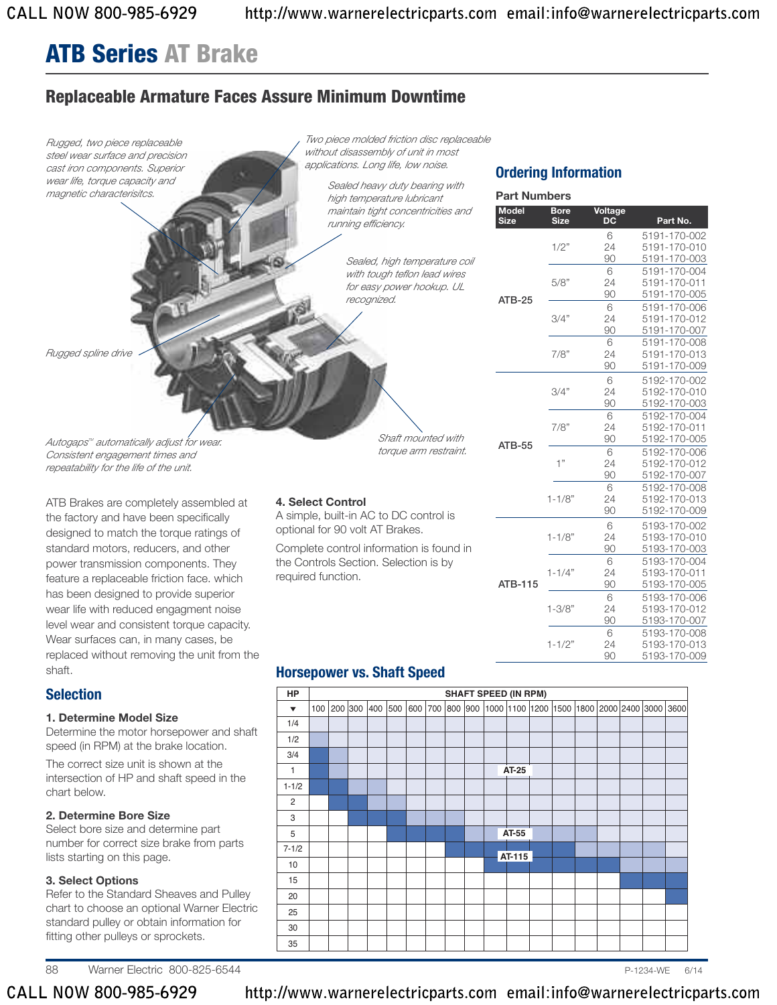## **ATB Series AT Brake**

## **Replaceable Armature Faces Assure Minimum Downtime**



88 Warner Electric 800-825-6544 **P-1234-WE 6/14** P-1234-WE 6/14